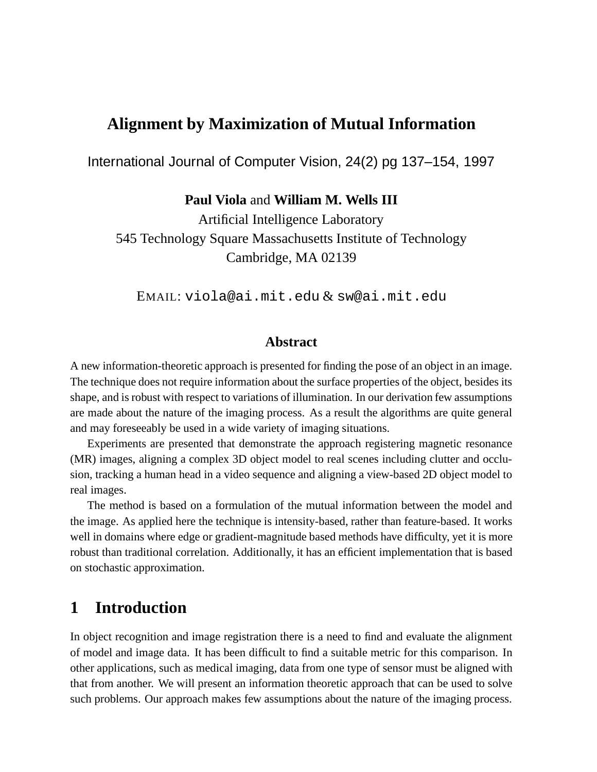# **Alignment by Maximization of Mutual Information**

International Journal of Computer Vision, 24(2) pg 137–154, 1997

### **Paul Viola** and **William M. Wells III**

Artificial Intelligence Laboratory 545 Technology Square Massachusetts Institute of Technology Cambridge, MA 02139

EMAIL: viola@ai.mit.edu & sw@ai.mit.edu

### **Abstract**

A new information-theoretic approach is presented for finding the pose of an object in an image. The technique does not require information about the surface properties of the object, besides its shape, and is robust with respect to variations of illumination. In our derivation few assumptions are made about the nature of the imaging process. As a result the algorithms are quite general and may foreseeably be used in a wide variety of imaging situations.

Experiments are presented that demonstrate the approach registering magnetic resonance (MR) images, aligning a complex 3D object model to real scenes including clutter and occlusion, tracking a human head in a video sequence and aligning a view-based 2D object model to real images.

The method is based on a formulation of the mutual information between the model and the image. As applied here the technique is intensity-based, rather than feature-based. It works well in domains where edge or gradient-magnitude based methods have difficulty, yet it is more robust than traditional correlation. Additionally, it has an efficient implementation that is based on stochastic approximation.

# **1 Introduction**

In object recognition and image registration there is a need to find and evaluate the alignment of model and image data. It has been difficult to find a suitable metric for this comparison. In other applications, such as medical imaging, data from one type of sensor must be aligned with that from another. We will present an information theoretic approach that can be used to solve such problems. Our approach makes few assumptions about the nature of the imaging process.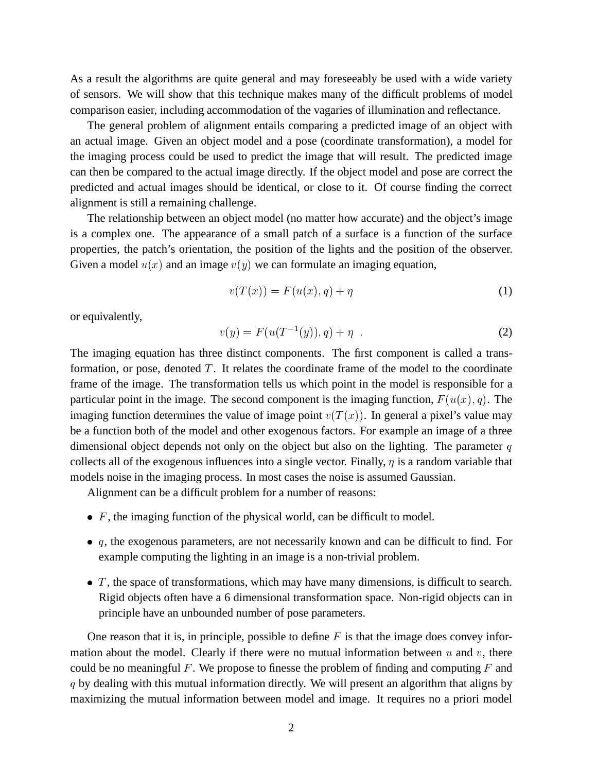As a result the algorithms are quite general and may foreseeably be used with a wide variety of sensors. We will show that this technique makes many of the difficult problems of model comparison easier, including accommodation of the vagaries of illumination and reflectance.

The general problem of alignment entails comparing a predicted image of an object with an actual image. Given an object model and a pose (coordinate transformation), a model for the imaging process could be used to predict the image that will result. The predicted image can then be compared to the actual image directly. If the object model and pose are correct the predicted and actual images should be identical, or close to it. Of course finding the correct alignment is still a remaining challenge.

The relationship between an object model (no matter how accurate) and the object's image is a complex one. The appearance of a small patch of a surface is a function of the surface properties, the patch's orientation, the position of the lights and the position of the observer. Given a model  $u(x)$  and an image  $v(y)$  we can formulate an imaging equation,

$$
v(T(x)) = F(u(x), q) + \eta \tag{1}
$$

or equivalently,

$$
v(y) = F(u(T^{-1}(y)), q) + \eta \tag{2}
$$

The imaging equation has three distinct components. The first component is called a transformation, or pose, denoted  $T$ . It relates the coordinate frame of the model to the coordinate frame of the image. The transformation tells us which point in the model is responsible for a particular point in the image. The second component is the imaging function,  $F(u(x), q)$ . The imaging function determines the value of image point  $v(T(x))$ . In general a pixel's value may be a function both of the model and other exogenous factors. For example an image of a three dimensional object depends not only on the object but also on the lighting. The parameter  $q$ collects all of the exogenous influences into a single vector. Finally,  $\eta$  is a random variable that models noise in the imaging process. In most cases the noise is assumed Gaussian.

Alignment can be a difficult problem for a number of reasons:

- $\bullet$  F, the imaging function of the physical world, can be difficult to model.
- $\bullet$  q, the exogenous parameters, are not necessarily known and can be difficult to find. For example computing the lighting in an image is a non-trivial problem.
- $\bullet$  T, the space of transformations, which may have many dimensions, is difficult to search. Rigid objects often have a 6 dimensional transformation space. Non-rigid objects can in principle have an unbounded number of pose parameters.

One reason that it is, in principle, possible to define  $F$  is that the image does convey information about the model. Clearly if there were no mutual information between  $u$  and  $v$ , there could be no meaningful  $F$ . We propose to finesse the problem of finding and computing  $F$  and  $q$  by dealing with this mutual information directly. We will present an algorithm that aligns by maximizing the mutual information between model and image. It requires no a priori model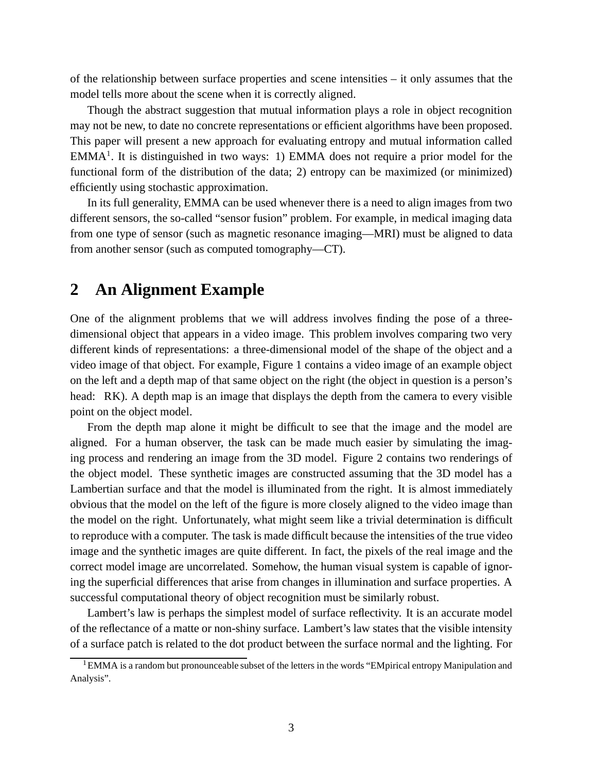of the relationship between surface properties and scene intensities – it only assumes that the model tells more about the scene when it is correctly aligned.

Though the abstract suggestion that mutual information plays a role in object recognition may not be new, to date no concrete representations or efficient algorithms have been proposed. This paper will present a new approach for evaluating entropy and mutual information called  $EMMA<sup>1</sup>$ . It is distinguished in two ways: 1) EMMA does not require a prior model for the functional form of the distribution of the data; 2) entropy can be maximized (or minimized) efficiently using stochastic approximation.

In its full generality, EMMA can be used whenever there is a need to align images from two different sensors, the so-called "sensor fusion" problem. For example, in medical imaging data from one type of sensor (such as magnetic resonance imaging—MRI) must be aligned to data from another sensor (such as computed tomography—CT).

# **2 An Alignment Example**

One of the alignment problems that we will address involves finding the pose of a threedimensional object that appears in a video image. This problem involves comparing two very different kinds of representations: a three-dimensional model of the shape of the object and a video image of that object. For example, Figure 1 contains a video image of an example object on the left and a depth map of that same object on the right (the object in question is a person's head: RK). A depth map is an image that displays the depth from the camera to every visible point on the object model.

From the depth map alone it might be difficult to see that the image and the model are aligned. For a human observer, the task can be made much easier by simulating the imaging process and rendering an image from the 3D model. Figure 2 contains two renderings of the object model. These synthetic images are constructed assuming that the 3D model has a Lambertian surface and that the model is illuminated from the right. It is almost immediately obvious that the model on the left of the figure is more closely aligned to the video image than the model on the right. Unfortunately, what might seem like a trivial determination is difficult to reproduce with a computer. The task is made difficult because the intensities of the true video image and the synthetic images are quite different. In fact, the pixels of the real image and the correct model image are uncorrelated. Somehow, the human visual system is capable of ignoring the superficial differences that arise from changes in illumination and surface properties. A successful computational theory of object recognition must be similarly robust.

Lambert's law is perhaps the simplest model of surface reflectivity. It is an accurate model of the reflectance of a matte or non-shiny surface. Lambert's law states that the visible intensity of a surface patch is related to the dot product between the surface normal and the lighting. For

 $1$ EMMA is a random but pronounceable subset of the letters in the words "EMpirical entropy Manipulation and Analysis".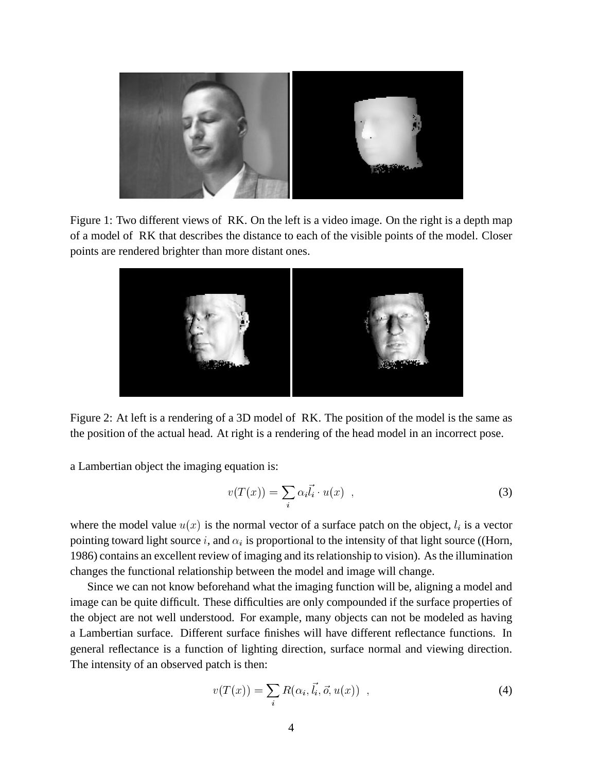

Figure 1: Two different views of RK. On the left is a video image. On the right is a depth map of a model of RK that describes the distance to each of the visible points of the model. Closer points are rendered brighter than more distant ones.



Figure 2: At left is a rendering of a 3D model of RK. The position of the model is the same as the position of the actual head. At right is a rendering of the head model in an incorrect pose.

a Lambertian object the imaging equation is:

$$
v(T(x)) = \sum_{i} \alpha_i \vec{l_i} \cdot u(x) , \qquad (3)
$$

where the model value  $u(x)$  is the normal vector of a surface patch on the object,  $l_i$  is a vector pointing toward light source i, and  $\alpha_i$  is proportional to the intensity of that light source ((Horn, 1986) contains an excellent review of imaging and its relationship to vision). As the illumination changes the functional relationship between the model and image will change.

Since we can not know beforehand what the imaging function will be, aligning a model and image can be quite difficult. These difficulties are only compounded if the surface properties of the object are not well understood. For example, many objects can not be modeled as having a Lambertian surface. Different surface finishes will have different reflectance functions. In general reflectance is a function of lighting direction, surface normal and viewing direction. The intensity of an observed patch is then:

$$
v(T(x)) = \sum_{i} R(\alpha_i, \vec{l_i}, \vec{o}, u(x)) , \qquad (4)
$$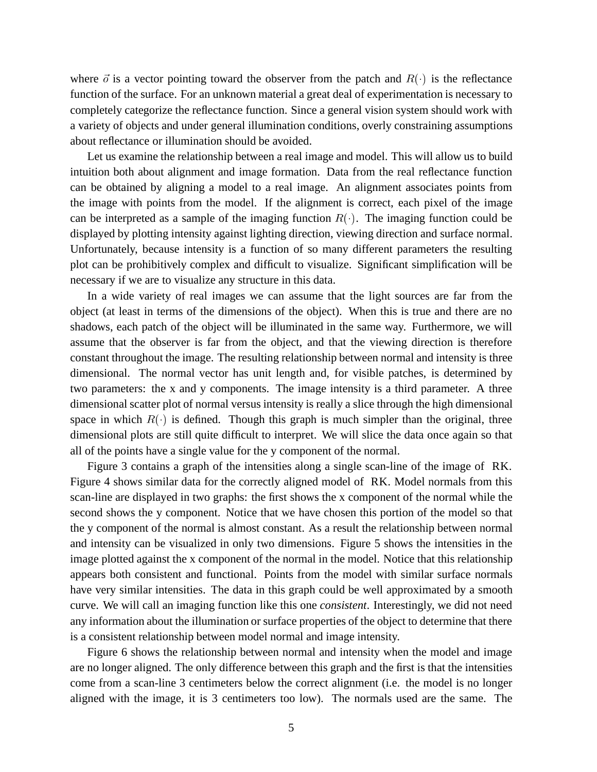where  $\vec{\sigma}$  is a vector pointing toward the observer from the patch and  $R(\cdot)$  is the reflectance function of the surface. For an unknown material a great deal of experimentation is necessary to completely categorize the reflectance function. Since a general vision system should work with a variety of objects and under general illumination conditions, overly constraining assumptions about reflectance or illumination should be avoided.

Let us examine the relationship between a real image and model. This will allow us to build intuition both about alignment and image formation. Data from the real reflectance function can be obtained by aligning a model to a real image. An alignment associates points from the image with points from the model. If the alignment is correct, each pixel of the image can be interpreted as a sample of the imaging function  $R(\cdot)$ . The imaging function could be displayed by plotting intensity against lighting direction, viewing direction and surface normal. Unfortunately, because intensity is a function of so many different parameters the resulting plot can be prohibitively complex and difficult to visualize. Significant simplification will be necessary if we are to visualize any structure in this data.

In a wide variety of real images we can assume that the light sources are far from the object (at least in terms of the dimensions of the object). When this is true and there are no shadows, each patch of the object will be illuminated in the same way. Furthermore, we will assume that the observer is far from the object, and that the viewing direction is therefore constant throughout the image. The resulting relationship between normal and intensity is three dimensional. The normal vector has unit length and, for visible patches, is determined by two parameters: the x and y components. The image intensity is a third parameter. A three dimensional scatter plot of normal versus intensity is really a slice through the high dimensional space in which  $R(\cdot)$  is defined. Though this graph is much simpler than the original, three dimensional plots are still quite difficult to interpret. We will slice the data once again so that all of the points have a single value for the y component of the normal.

Figure 3 contains a graph of the intensities along a single scan-line of the image of RK. Figure 4 shows similar data for the correctly aligned model of RK. Model normals from this scan-line are displayed in two graphs: the first shows the x component of the normal while the second shows the y component. Notice that we have chosen this portion of the model so that the y component of the normal is almost constant. As a result the relationship between normal and intensity can be visualized in only two dimensions. Figure 5 shows the intensities in the image plotted against the x component of the normal in the model. Notice that this relationship appears both consistent and functional. Points from the model with similar surface normals have very similar intensities. The data in this graph could be well approximated by a smooth curve. We will call an imaging function like this one *consistent*. Interestingly, we did not need any information about the illumination or surface properties of the object to determine that there is a consistent relationship between model normal and image intensity.

Figure 6 shows the relationship between normal and intensity when the model and image are no longer aligned. The only difference between this graph and the first is that the intensities come from a scan-line 3 centimeters below the correct alignment (i.e. the model is no longer aligned with the image, it is 3 centimeters too low). The normals used are the same. The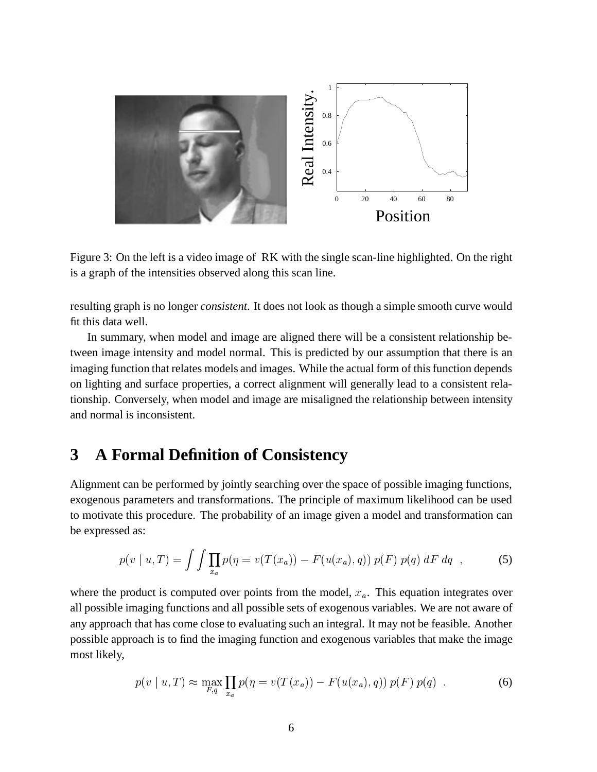![](_page_5_Figure_0.jpeg)

Figure 3: On the left is a video image of RK with the single scan-line highlighted. On the right is a graph of the intensities observed along this scan line.

resulting graph is no longer *consistent*. It does not look as though a simple smooth curve would fit this data well.

In summary, when model and image are aligned there will be a consistent relationship between image intensity and model normal. This is predicted by our assumption that there is an imaging function that relates models and images. While the actual form of this function depends on lighting and surface properties, a correct alignment will generally lead to a consistent relationship. Conversely, when model and image are misaligned the relationship between intensity and normal is inconsistent.

# **3 A Formal Definition of Consistency**

Alignment can be performed by jointly searching over the space of possible imaging functions, exogenous parameters and transformations. The principle of maximum likelihood can be used to motivate this procedure. The probability of an image given a model and transformation can be expressed as:

$$
p(v \mid u, T) = \int \int \prod_{x_a} p(\eta = v(T(x_a)) - F(u(x_a), q)) p(F) p(q) dF dq , \qquad (5)
$$

where the product is computed over points from the model,  $x_a$ . This equation integrates over all possible imaging functions and all possible sets of exogenous variables. We are not aware of any approach that has come close to evaluating such an integral. It may not be feasible. Another possible approach is to find the imaging function and exogenous variables that make the image most likely,

$$
p(v \mid u, T) \approx \max_{F,q} \prod_{x_a} p(\eta = v(T(x_a)) - F(u(x_a), q)) p(F) p(q) \quad . \tag{6}
$$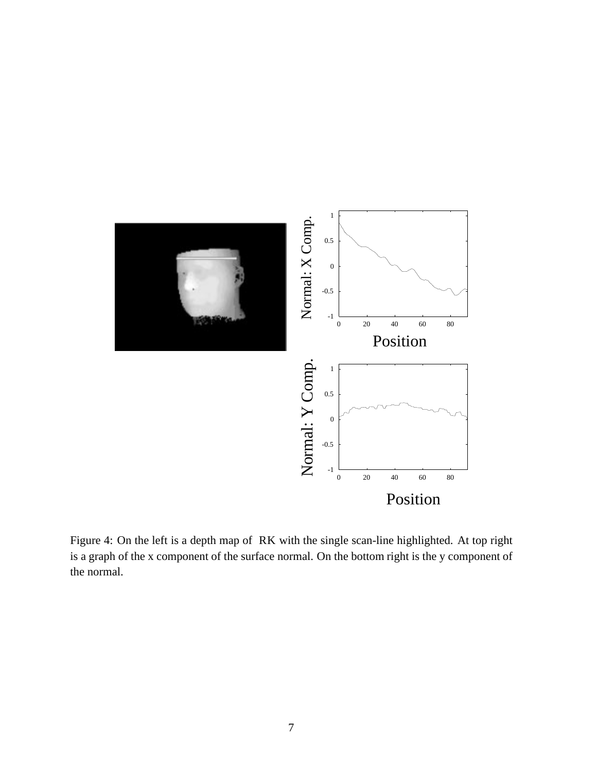![](_page_6_Figure_0.jpeg)

Figure 4: On the left is a depth map of RK with the single scan-line highlighted. At top right is a graph of the x component of the surface normal. On the bottom right is the y component of the normal.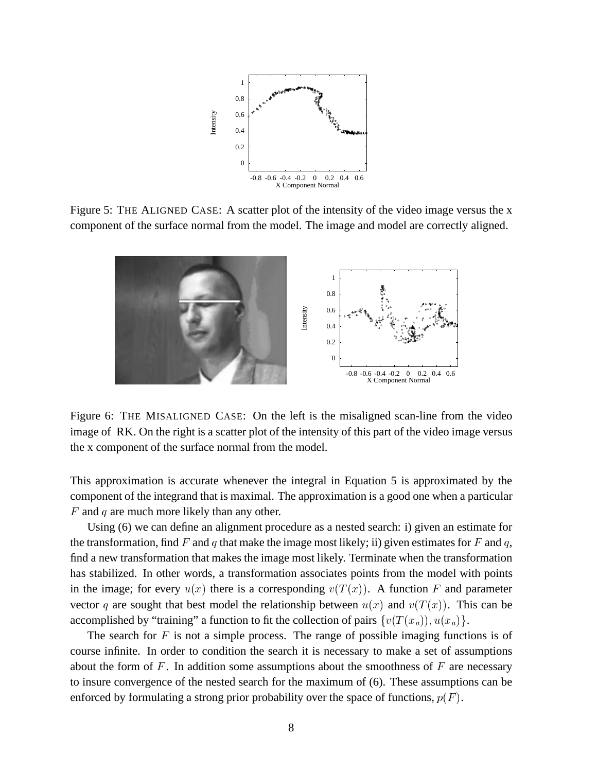![](_page_7_Figure_0.jpeg)

Figure 5: THE ALIGNED CASE: A scatter plot of the intensity of the video image versus the x component of the surface normal from the model. The image and model are correctly aligned.

![](_page_7_Figure_2.jpeg)

Figure 6: THE MISALIGNED CASE: On the left is the misaligned scan-line from the video image of RK. On the right is a scatter plot of the intensity of this part of the video image versus the x component of the surface normal from the model.

This approximation is accurate whenever the integral in Equation 5 is approximated by the component of the integrand that is maximal. The approximation is a good one when a particular  $F$  and  $q$  are much more likely than any other.

Using (6) we can define an alignment procedure as a nested search: i) given an estimate for the transformation, find F and q that make the image most likely; ii) given estimates for F and q, find a new transformation that makes the image most likely. Terminate when the transformation has stabilized. In other words, a transformation associates points from the model with points in the image; for every  $u(x)$  there is a corresponding  $v(T(x))$ . A function F and parameter vector q are sought that best model the relationship between  $u(x)$  and  $v(T(x))$ . This can be accomplished by "training" a function to fit the collection of pairs  $\{v(T(x_a)), u(x_a)\}.$ 

The search for  $F$  is not a simple process. The range of possible imaging functions is of course infinite. In order to condition the search it is necessary to make a set of assumptions about the form of  $F$ . In addition some assumptions about the smoothness of  $F$  are necessary to insure convergence of the nested search for the maximum of (6). These assumptions can be enforced by formulating a strong prior probability over the space of functions,  $p(F)$ .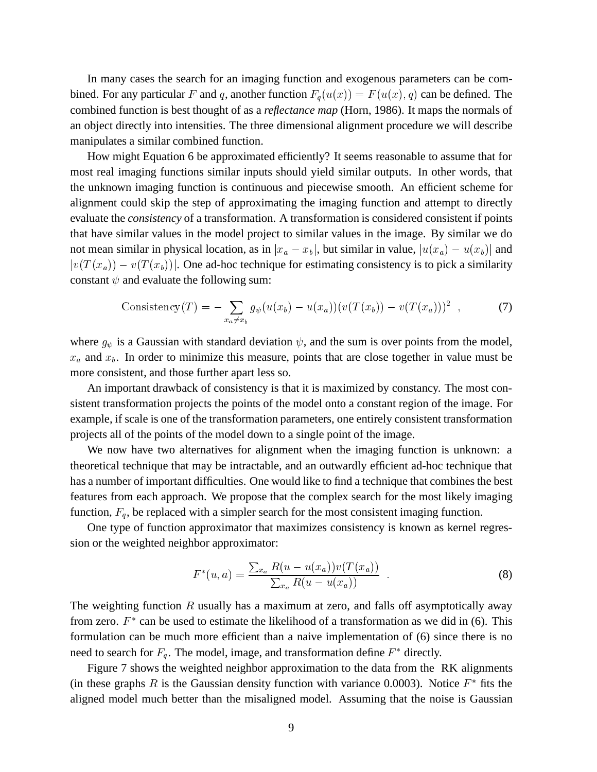In many cases the search for an imaging function and exogenous parameters can be combined. For any particular F and q, another function  $F_q(u(x))= F(u(x), q)$  can be defined. The combined function is best thought of as a *reflectance map* (Horn, 1986). It maps the normals of an object directly into intensities. The three dimensional alignment procedure we will describe manipulates a similar combined function.

How might Equation 6 be approximated efficiently? It seems reasonable to assume that for most real imaging functions similar inputs should yield similar outputs. In other words, that the unknown imaging function is continuous and piecewise smooth. An efficient scheme for alignment could skip the step of approximating the imaging function and attempt to directly evaluate the *consistency* of a transformation. A transformation is considered consistent if points that have similar values in the model project to similar values in the image. By similar we do not mean similar in physical location, as in  $|x_a - x_b|$ , but similar in value,  $|u(x_a) - u(x_b)|$  and  $|v(T(x_a)) - v(T(x_b))|$ . One ad-hoc technique for estimating consistency is to pick a similarity constant  $\psi$  and evaluate the following sum:

Consistency
$$
(T) = -\sum_{x_a \neq x_b} g_{\psi}(u(x_b) - u(x_a))(v(T(x_b)) - v(T(x_a)))^2
$$
, (7)

where  $g_{\psi}$  is a Gaussian with standard deviation  $\psi$ , and the sum is over points from the model,  $x_a$  and  $x_b$ . In order to minimize this measure, points that are close together in value must be more consistent, and those further apart less so.

An important drawback of consistency is that it is maximized by constancy. The most consistent transformation projects the points of the model onto a constant region of the image. For example, if scale is one of the transformation parameters, one entirely consistent transformation projects all of the points of the model down to a single point of the image.

We now have two alternatives for alignment when the imaging function is unknown: a theoretical technique that may be intractable, and an outwardly efficient ad-hoc technique that has a number of important difficulties. One would like to find a technique that combines the best features from each approach. We propose that the complex search for the most likely imaging function,  $F_q$ , be replaced with a simpler search for the most consistent imaging function.

One type of function approximator that maximizes consistency is known as kernel regression or the weighted neighbor approximator:

$$
F^*(u, a) = \frac{\sum_{x_a} R(u - u(x_a))v(T(x_a))}{\sum_{x_a} R(u - u(x_a))} \tag{8}
$$

The weighting function  $R$  usually has a maximum at zero, and falls off asymptotically away from zero.  $F^*$  can be used to estimate the likelihood of a transformation as we did in (6). This formulation can be much more efficient than a naive implementation of (6) since there is no need to search for  $F_q$ . The model, image, and transformation define  $F^*$  directly.

Figure 7 shows the weighted neighbor approximation to the data from the RK alignments (in these graphs R is the Gaussian density function with variance 0.0003). Notice  $F^*$  fits the aligned model much better than the misaligned model. Assuming that the noise is Gaussian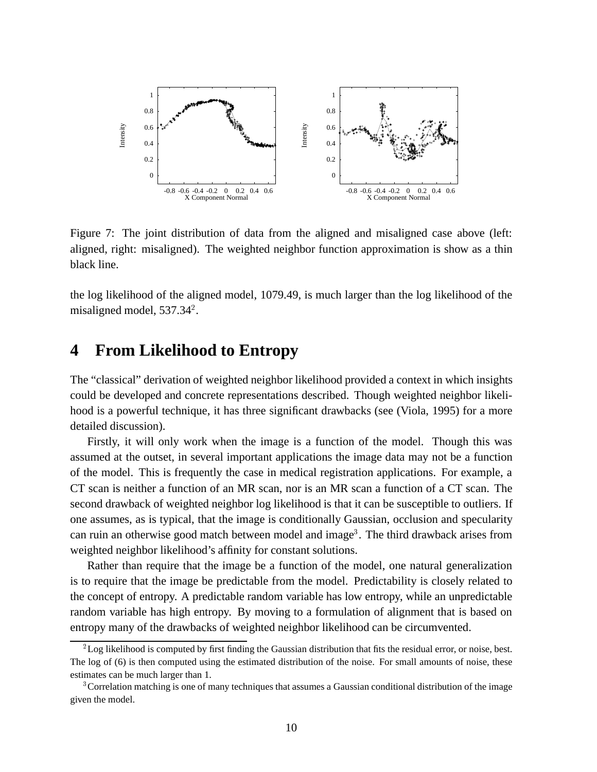![](_page_9_Figure_0.jpeg)

Figure 7: The joint distribution of data from the aligned and misaligned case above (left: aligned, right: misaligned). The weighted neighbor function approximation is show as a thin black line.

the log likelihood of the aligned model, 1079.49, is much larger than the log likelihood of the misaligned model,  $537.34^2$ .

# **4 From Likelihood to Entropy**

The "classical" derivation of weighted neighbor likelihood provided a context in which insights could be developed and concrete representations described. Though weighted neighbor likelihood is a powerful technique, it has three significant drawbacks (see (Viola, 1995) for a more detailed discussion).

Firstly, it will only work when the image is a function of the model. Though this was assumed at the outset, in several important applications the image data may not be a function of the model. This is frequently the case in medical registration applications. For example, a CT scan is neither a function of an MR scan, nor is an MR scan a function of a CT scan. The second drawback of weighted neighbor log likelihood is that it can be susceptible to outliers. If one assumes, as is typical, that the image is conditionally Gaussian, occlusion and specularity can ruin an otherwise good match between model and image<sup>3</sup>. The third drawback arises from weighted neighbor likelihood's affinity for constant solutions.

Rather than require that the image be a function of the model, one natural generalization is to require that the image be predictable from the model. Predictability is closely related to the concept of entropy. A predictable random variable has low entropy, while an unpredictable random variable has high entropy. By moving to a formulation of alignment that is based on entropy many of the drawbacks of weighted neighbor likelihood can be circumvented.

 ${}^{2}$ Log likelihood is computed by first finding the Gaussian distribution that fits the residual error, or noise, best. The log of (6) is then computed using the estimated distribution of the noise. For small amounts of noise, these estimates can be much larger than 1.

<sup>&</sup>lt;sup>3</sup>Correlation matching is one of many techniques that assumes a Gaussian conditional distribution of the image given the model.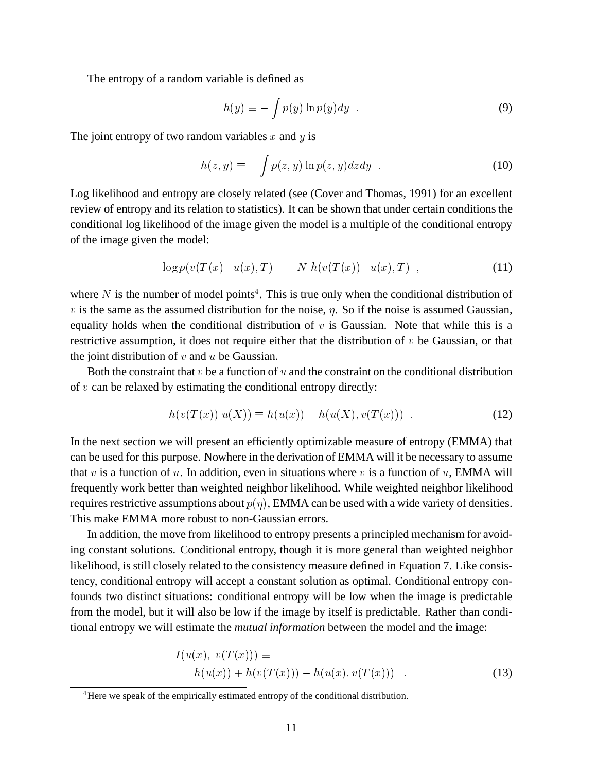The entropy of a random variable is defined as

$$
h(y) \equiv -\int p(y)\ln p(y)dy . \tag{9}
$$

The joint entropy of two random variables  $x$  and  $y$  is

$$
h(z, y) \equiv -\int p(z, y) \ln p(z, y) dz dy . \qquad (10)
$$

Log likelihood and entropy are closely related (see (Cover and Thomas, 1991) for an excellent review of entropy and its relation to statistics). It can be shown that under certain conditions the conditional log likelihood of the image given the model is a multiple of the conditional entropy of the image given the model:

$$
\log p(v(T(x) \mid u(x), T) = -N h(v(T(x)) \mid u(x), T) , \qquad (11)
$$

where N is the number of model points<sup>4</sup>. This is true only when the conditional distribution of v is the same as the assumed distribution for the noise,  $\eta$ . So if the noise is assumed Gaussian, equality holds when the conditional distribution of  $v$  is Gaussian. Note that while this is a restrictive assumption, it does not require either that the distribution of  $v$  be Gaussian, or that the joint distribution of  $v$  and  $u$  be Gaussian.

Both the constraint that v be a function of u and the constraint on the conditional distribution of  $v$  can be relaxed by estimating the conditional entropy directly:

$$
h(v(T(x))|u(X)) \equiv h(u(x)) - h(u(X), v(T(x))) \tag{12}
$$

In the next section we will present an efficiently optimizable measure of entropy (EMMA) that can be used for this purpose. Nowhere in the derivation of EMMA will it be necessary to assume that v is a function of u. In addition, even in situations where v is a function of u, EMMA will frequently work better than weighted neighbor likelihood. While weighted neighbor likelihood requires restrictive assumptions about  $p(\eta)$ , EMMA can be used with a wide variety of densities. This make EMMA more robust to non-Gaussian errors.

In addition, the move from likelihood to entropy presents a principled mechanism for avoiding constant solutions. Conditional entropy, though it is more general than weighted neighbor likelihood, is still closely related to the consistency measure defined in Equation 7. Like consistency, conditional entropy will accept a constant solution as optimal. Conditional entropy confounds two distinct situations: conditional entropy will be low when the image is predictable from the model, but it will also be low if the image by itself is predictable. Rather than conditional entropy we will estimate the *mutual information* between the model and the image:

$$
I(u(x), v(T(x))) \equiv h(u(x)) + h(v(T(x))) - h(u(x), v(T(x))) .
$$
 (13)

<sup>&</sup>lt;sup>4</sup>Here we speak of the empirically estimated entropy of the conditional distribution.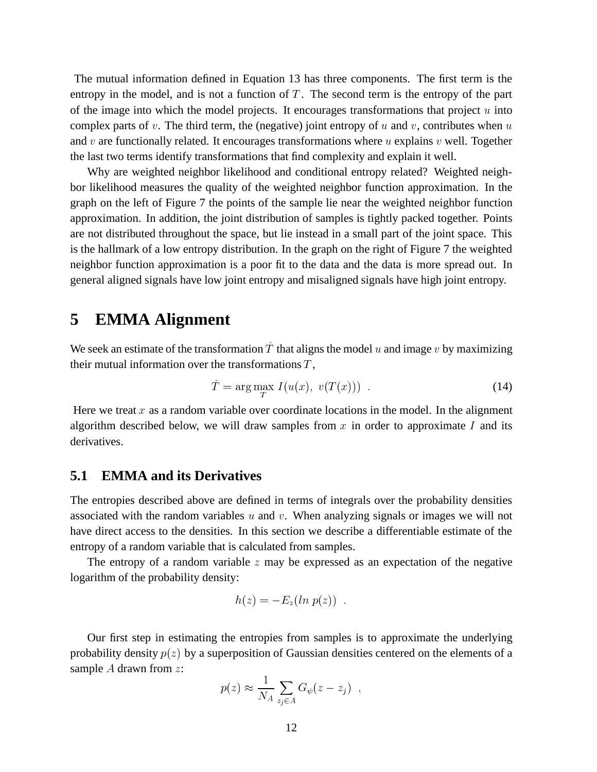The mutual information defined in Equation 13 has three components. The first term is the entropy in the model, and is not a function of  $T$ . The second term is the entropy of the part of the image into which the model projects. It encourages transformations that project  $u$  into complex parts of v. The third term, the (negative) joint entropy of u and v, contributes when u and v are functionally related. It encourages transformations where u explains v well. Together the last two terms identify transformations that find complexity and explain it well.

Why are weighted neighbor likelihood and conditional entropy related? Weighted neighbor likelihood measures the quality of the weighted neighbor function approximation. In the graph on the left of Figure 7 the points of the sample lie near the weighted neighbor function approximation. In addition, the joint distribution of samples is tightly packed together. Points are not distributed throughout the space, but lie instead in a small part of the joint space. This is the hallmark of a low entropy distribution. In the graph on the right of Figure 7 the weighted neighbor function approximation is a poor fit to the data and the data is more spread out. In general aligned signals have low joint entropy and misaligned signals have high joint entropy.

# **5 EMMA Alignment**

We seek an estimate of the transformation  $T$  that aligns the model  $u$  and image  $v$  by maximizing their mutual information over the transformations  $T$ ,

$$
\hat{T} = \arg\max_{T} I(u(x), v(T(x))) \tag{14}
$$

Here we treat x as a random variable over coordinate locations in the model. In the alignment algorithm described below, we will draw samples from  $x$  in order to approximate  $I$  and its derivatives.

### **5.1 EMMA and its Derivatives**

The entropies described above are defined in terms of integrals over the probability densities associated with the random variables  $u$  and  $v$ . When analyzing signals or images we will not have direct access to the densities. In this section we describe a differentiable estimate of the entropy of a random variable that is calculated from samples.

The entropy of a random variable  $z$  may be expressed as an expectation of the negative logarithm of the probability density:

$$
h(z) = -E_z(ln p(z)) .
$$

Our first step in estimating the entropies from samples is to approximate the underlying probability density  $p(z)$  by a superposition of Gaussian densities centered on the elements of a sample  $A$  drawn from  $z$ :

$$
p(z) \approx \frac{1}{N_A} \sum_{z_j \in A} G_{\psi}(z - z_j) ,
$$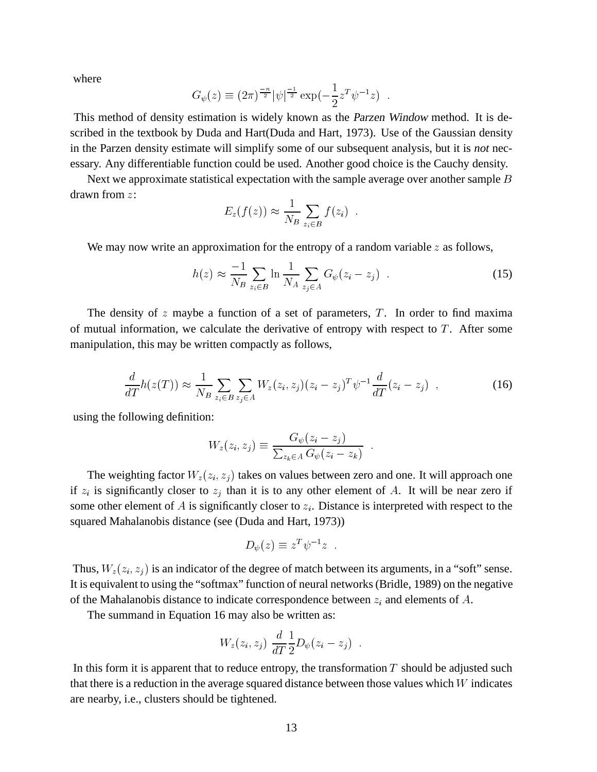where

$$
G_{\psi}(z) \equiv (2\pi)^{\frac{-n}{2}} |\psi|^{\frac{-1}{2}} \exp(-\frac{1}{2}z^{T} \psi^{-1} z) .
$$

This method of density estimation is widely known as the Parzen Window method. It is described in the textbook by Duda and Hart(Duda and Hart, 1973). Use of the Gaussian density in the Parzen density estimate will simplify some of our subsequent analysis, but it is *not* necessary. Any differentiable function could be used. Another good choice is the Cauchy density.

Next we approximate statistical expectation with the sample average over another sample  $B$ drawn from z:

$$
E_z(f(z)) \approx \frac{1}{N_B} \sum_{z_i \in B} f(z_i) .
$$

We may now write an approximation for the entropy of a random variable  $z$  as follows,

$$
h(z) \approx \frac{-1}{N_B} \sum_{z_i \in B} \ln \frac{1}{N_A} \sum_{z_j \in A} G_{\psi}(z_i - z_j) \quad . \tag{15}
$$

The density of z maybe a function of a set of parameters,  $T$ . In order to find maxima of mutual information, we calculate the derivative of entropy with respect to  $T$ . After some manipulation, this may be written compactly as follows,

$$
\frac{d}{dT}h(z(T)) \approx \frac{1}{N_B} \sum_{z_i \in B} \sum_{z_j \in A} W_z(z_i, z_j)(z_i - z_j)^T \psi^{-1} \frac{d}{dT}(z_i - z_j) , \qquad (16)
$$

using the following definition:

$$
W_z(z_i, z_j) \equiv \frac{G_{\psi}(z_i - z_j)}{\sum_{z_k \in A} G_{\psi}(z_i - z_k)}.
$$

The weighting factor  $W_z(z_i, z_j)$  takes on values between zero and one. It will approach one if  $z_i$  is significantly closer to  $z_j$  than it is to any other element of A. It will be near zero if some other element of A is significantly closer to  $z_i$ . Distance is interpreted with respect to the squared Mahalanobis distance (see (Duda and Hart, 1973))

$$
D_{\psi}(z) \equiv z^T \psi^{-1} z \quad .
$$

Thus,  $W_z(z_i, z_j)$  is an indicator of the degree of match between its arguments, in a "soft" sense. It is equivalent to using the "softmax" function of neural networks (Bridle, 1989) on the negative of the Mahalanobis distance to indicate correspondence between  $z_i$  and elements of A.

The summand in Equation 16 may also be written as:

$$
W_z(z_i, z_j) \frac{d}{dT} \frac{1}{2} D_{\psi}(z_i - z_j) .
$$

In this form it is apparent that to reduce entropy, the transformation  $T$  should be adjusted such that there is a reduction in the average squared distance between those values which  $W$  indicates are nearby, i.e., clusters should be tightened.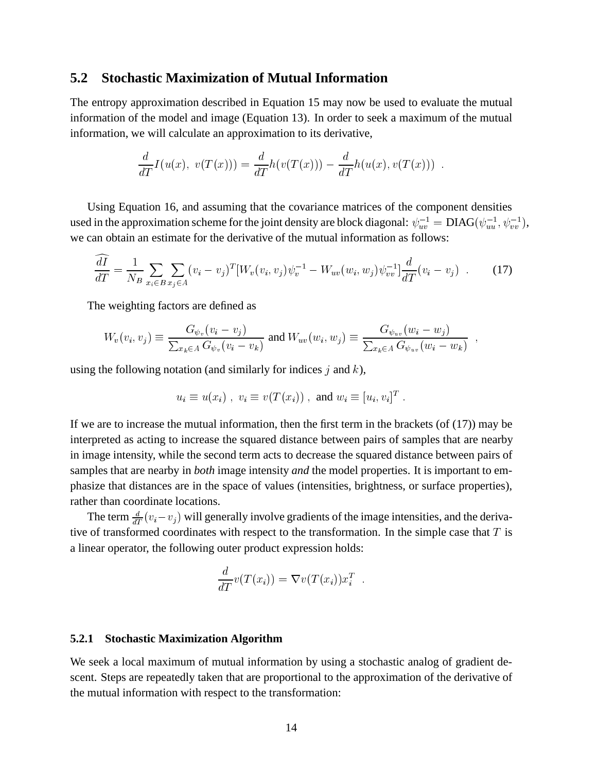### **5.2 Stochastic Maximization of Mutual Information**

The entropy approximation described in Equation 15 may now be used to evaluate the mutual information of the model and image (Equation 13). In order to seek a maximum of the mutual information, we will calculate an approximation to its derivative,

$$
\frac{d}{dT}I(u(x), v(T(x))) = \frac{d}{dT}h(v(T(x))) - \frac{d}{dT}h(u(x), v(T(x))) .
$$

Using Equation 16, and assuming that the covariance matrices of the component densities used in the approximation scheme for the joint density are block diagonal:  $\psi_{uv}^{-1} = D I A G(\psi_{uu}^{-1}, \psi_{vv}^{-1}),$ we can obtain an estimate for the derivative of the mutual information as follows:

$$
\frac{\widehat{dI}}{dT} = \frac{1}{N_B} \sum_{x_i \in B} \sum_{x_j \in A} (v_i - v_j)^T [W_v(v_i, v_j) \psi_v^{-1} - W_{uv}(w_i, w_j) \psi_{vv}^{-1}] \frac{d}{dT}(v_i - v_j) \quad . \tag{17}
$$

The weighting factors are defined as

$$
W_v(v_i, v_j) \equiv \frac{G_{\psi_v}(v_i - v_j)}{\sum_{x_k \in A} G_{\psi_v}(v_i - v_k)} \text{ and } W_{uv}(w_i, w_j) \equiv \frac{G_{\psi_{uv}}(w_i - w_j)}{\sum_{x_k \in A} G_{\psi_{uv}}(w_i - w_k)} ,
$$

using the following notation (and similarly for indices  $j$  and  $k$ ),

$$
u_i \equiv u(x_i)
$$
,  $v_i \equiv v(T(x_i))$ , and  $w_i \equiv [u_i, v_i]^T$ .

If we are to increase the mutual information, then the first term in the brackets (of  $(17)$ ) may be interpreted as acting to increase the squared distance between pairs of samples that are nearby in image intensity, while the second term acts to decrease the squared distance between pairs of samples that are nearby in *both* image intensity *and* the model properties. It is important to emphasize that distances are in the space of values (intensities, brightness, or surface properties), rather than coordinate locations.

The term  $\frac{d}{dT}(v_i-v_j)$  will generally involve gradients of the image intensities, and the derivative of transformed coordinates with respect to the transformation. In the simple case that  $T$  is a linear operator, the following outer product expression holds:

$$
\frac{d}{dT}v(T(x_i)) = \nabla v(T(x_i))x_i^T.
$$

### **5.2.1 Stochastic Maximization Algorithm**

We seek a local maximum of mutual information by using a stochastic analog of gradient descent. Steps are repeatedly taken that are proportional to the approximation of the derivative of the mutual information with respect to the transformation: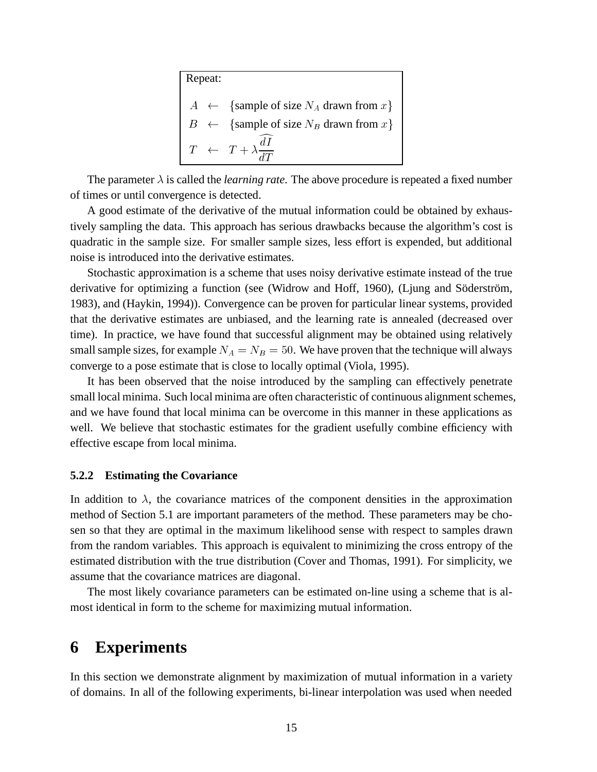Repeat:  $A \leftarrow \{$ sample of size  $N_A$  drawn from  $x\}$  $B \leftarrow \{$ sample of size  $N_B$  drawn from  $x\}$  $T \leftarrow T + \lambda \frac{dI}{dt}$ 

The parameter  $\lambda$  is called the *learning rate*. The above procedure is repeated a fixed number of times or until convergence is detected.

A good estimate of the derivative of the mutual information could be obtained by exhaustively sampling the data. This approach has serious drawbacks because the algorithm's cost is quadratic in the sample size. For smaller sample sizes, less effort is expended, but additional noise is introduced into the derivative estimates.

Stochastic approximation is a scheme that uses noisy derivative estimate instead of the true derivative for optimizing a function (see (Widrow and Hoff, 1960), (Ljung and Söderström, 1983), and (Haykin, 1994)). Convergence can be proven for particular linear systems, provided that the derivative estimates are unbiased, and the learning rate is annealed (decreased over time). In practice, we have found that successful alignment may be obtained using relatively small sample sizes, for example  $N_A = N_B = 50$ . We have proven that the technique will always converge to a pose estimate that is close to locally optimal (Viola, 1995).

It has been observed that the noise introduced by the sampling can effectively penetrate small local minima. Such local minima are often characteristic of continuous alignment schemes, and we have found that local minima can be overcome in this manner in these applications as well. We believe that stochastic estimates for the gradient usefully combine efficiency with effective escape from local minima.

#### **5.2.2 Estimating the Covariance**

In addition to  $\lambda$ , the covariance matrices of the component densities in the approximation method of Section 5.1 are important parameters of the method. These parameters may be chosen so that they are optimal in the maximum likelihood sense with respect to samples drawn from the random variables. This approach is equivalent to minimizing the cross entropy of the estimated distribution with the true distribution (Cover and Thomas, 1991). For simplicity, we assume that the covariance matrices are diagonal.

The most likely covariance parameters can be estimated on-line using a scheme that is almost identical in form to the scheme for maximizing mutual information.

### **6 Experiments**

In this section we demonstrate alignment by maximization of mutual information in a variety of domains. In all of the following experiments, bi-linear interpolation was used when needed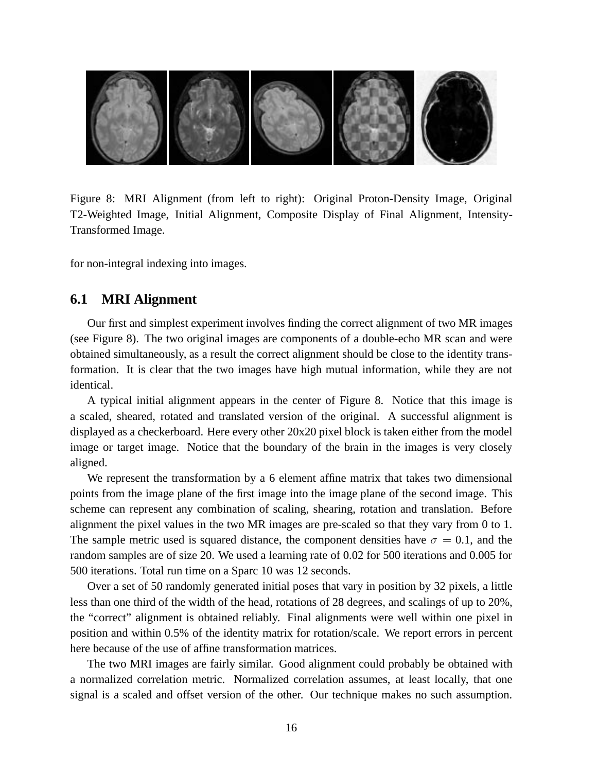![](_page_15_Figure_0.jpeg)

Figure 8: MRI Alignment (from left to right): Original Proton-Density Image, Original T2-Weighted Image, Initial Alignment, Composite Display of Final Alignment, Intensity-Transformed Image.

for non-integral indexing into images.

### **6.1 MRI Alignment**

Our first and simplest experiment involves finding the correct alignment of two MR images (see Figure 8). The two original images are components of a double-echo MR scan and were obtained simultaneously, as a result the correct alignment should be close to the identity transformation. It is clear that the two images have high mutual information, while they are not identical.

A typical initial alignment appears in the center of Figure 8. Notice that this image is a scaled, sheared, rotated and translated version of the original. A successful alignment is displayed as a checkerboard. Here every other 20x20 pixel block is taken either from the model image or target image. Notice that the boundary of the brain in the images is very closely aligned.

We represent the transformation by a 6 element affine matrix that takes two dimensional points from the image plane of the first image into the image plane of the second image. This scheme can represent any combination of scaling, shearing, rotation and translation. Before alignment the pixel values in the two MR images are pre-scaled so that they vary from 0 to 1. The sample metric used is squared distance, the component densities have  $\sigma = 0.1$ , and the random samples are of size 20. We used a learning rate of 0.02 for 500 iterations and 0.005 for 500 iterations. Total run time on a Sparc 10 was 12 seconds.

Over a set of 50 randomly generated initial poses that vary in position by 32 pixels, a little less than one third of the width of the head, rotations of 28 degrees, and scalings of up to 20%, the "correct" alignment is obtained reliably. Final alignments were well within one pixel in position and within 0.5% of the identity matrix for rotation/scale. We report errors in percent here because of the use of affine transformation matrices.

The two MRI images are fairly similar. Good alignment could probably be obtained with a normalized correlation metric. Normalized correlation assumes, at least locally, that one signal is a scaled and offset version of the other. Our technique makes no such assumption.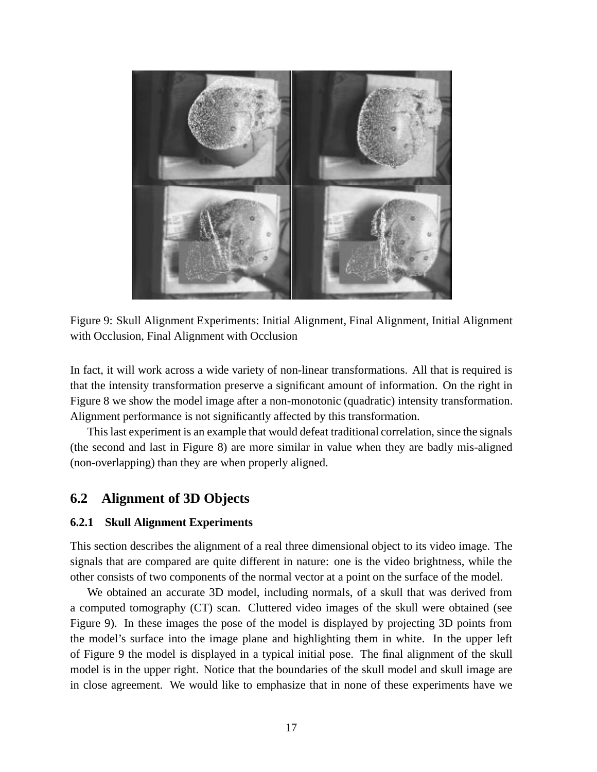![](_page_16_Picture_0.jpeg)

Figure 9: Skull Alignment Experiments: Initial Alignment, Final Alignment, Initial Alignment with Occlusion, Final Alignment with Occlusion

In fact, it will work across a wide variety of non-linear transformations. All that is required is that the intensity transformation preserve a significant amount of information. On the right in Figure 8 we show the model image after a non-monotonic (quadratic) intensity transformation. Alignment performance is not significantly affected by this transformation.

This last experiment is an example that would defeat traditional correlation, since the signals (the second and last in Figure 8) are more similar in value when they are badly mis-aligned (non-overlapping) than they are when properly aligned.

### **6.2 Alignment of 3D Objects**

### **6.2.1 Skull Alignment Experiments**

This section describes the alignment of a real three dimensional object to its video image. The signals that are compared are quite different in nature: one is the video brightness, while the other consists of two components of the normal vector at a point on the surface of the model.

We obtained an accurate 3D model, including normals, of a skull that was derived from a computed tomography (CT) scan. Cluttered video images of the skull were obtained (see Figure 9). In these images the pose of the model is displayed by projecting 3D points from the model's surface into the image plane and highlighting them in white. In the upper left of Figure 9 the model is displayed in a typical initial pose. The final alignment of the skull model is in the upper right. Notice that the boundaries of the skull model and skull image are in close agreement. We would like to emphasize that in none of these experiments have we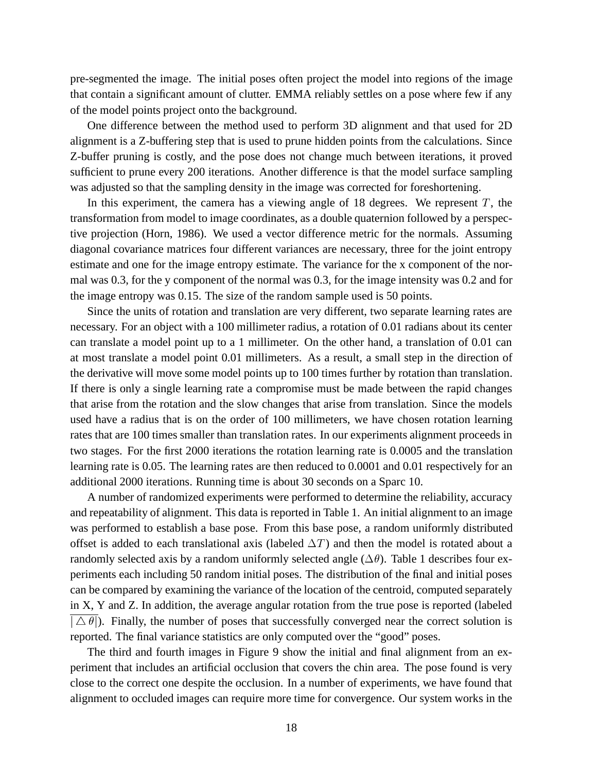pre-segmented the image. The initial poses often project the model into regions of the image that contain a significant amount of clutter. EMMA reliably settles on a pose where few if any of the model points project onto the background.

One difference between the method used to perform 3D alignment and that used for 2D alignment is a Z-buffering step that is used to prune hidden points from the calculations. Since Z-buffer pruning is costly, and the pose does not change much between iterations, it proved sufficient to prune every 200 iterations. Another difference is that the model surface sampling was adjusted so that the sampling density in the image was corrected for foreshortening.

In this experiment, the camera has a viewing angle of 18 degrees. We represent  $T$ , the transformation from model to image coordinates, as a double quaternion followed by a perspective projection (Horn, 1986). We used a vector difference metric for the normals. Assuming diagonal covariance matrices four different variances are necessary, three for the joint entropy estimate and one for the image entropy estimate. The variance for the x component of the normal was 0.3, for the y component of the normal was 0.3, for the image intensity was 0.2 and for the image entropy was 0.15. The size of the random sample used is 50 points.

Since the units of rotation and translation are very different, two separate learning rates are necessary. For an object with a 100 millimeter radius, a rotation of 0.01 radians about its center can translate a model point up to a 1 millimeter. On the other hand, a translation of 0.01 can at most translate a model point 0.01 millimeters. As a result, a small step in the direction of the derivative will move some model points up to 100 times further by rotation than translation. If there is only a single learning rate a compromise must be made between the rapid changes that arise from the rotation and the slow changes that arise from translation. Since the models used have a radius that is on the order of 100 millimeters, we have chosen rotation learning rates that are 100 times smaller than translation rates. In our experiments alignment proceeds in two stages. For the first 2000 iterations the rotation learning rate is 0.0005 and the translation learning rate is 0.05. The learning rates are then reduced to 0.0001 and 0.01 respectively for an additional 2000 iterations. Running time is about 30 seconds on a Sparc 10.

A number of randomized experiments were performed to determine the reliability, accuracy and repeatability of alignment. This data is reported in Table 1. An initial alignment to an image was performed to establish a base pose. From this base pose, a random uniformly distributed offset is added to each translational axis (labeled  $\Delta T$ ) and then the model is rotated about a randomly selected axis by a random uniformly selected angle  $(\Delta \theta)$ . Table 1 describes four experiments each including 50 random initial poses. The distribution of the final and initial poses can be compared by examining the variance of the location of the centroid, computed separately in X, Y and Z. In addition, the average angular rotation from the true pose is reported (labeled  $\overline{|\triangle \theta|}$ ). Finally, the number of poses that successfully converged near the correct solution is reported. The final variance statistics are only computed over the "good" poses.

The third and fourth images in Figure 9 show the initial and final alignment from an experiment that includes an artificial occlusion that covers the chin area. The pose found is very close to the correct one despite the occlusion. In a number of experiments, we have found that alignment to occluded images can require more time for convergence. Our system works in the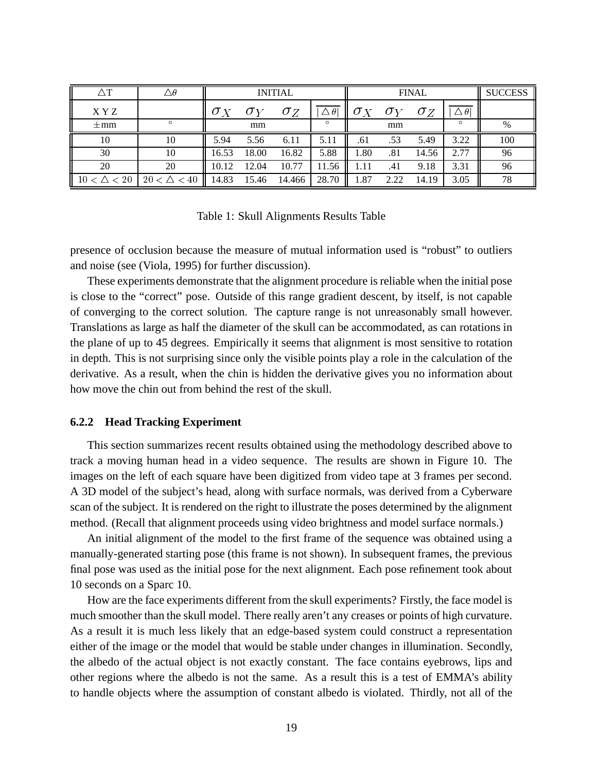| $\triangle T$ | $\triangle \theta$ | <b>INITIAL</b> |            |            |                    | <b>FINAL</b> |      |            |                    | <b>SUCCESS</b> |
|---------------|--------------------|----------------|------------|------------|--------------------|--------------|------|------------|--------------------|----------------|
| X Y Z         |                    | $\sigma v$     | $\sigma v$ | $\sigma_Z$ | $\triangle \theta$ | $\mathbf{v}$ |      | $\sigma_Z$ | $\triangle \theta$ |                |
| $\pm$ mm      | $\circ$            |                | mm         |            | $\circ$            |              | mm   |            | $\circ$            | %              |
| 10            | 10                 | 5.94           | 5.56       | 6.11       | 5.11               | .61          | .53  | 5.49       | 3.22               | 100            |
| 30            | 10                 | 16.53          | 18.00      | 16.82      | 5.88               | 1.80         | .81  | 14.56      | 2.77               | 96             |
| 20            | 20                 | 10.12          | 12.04      | 10.77      | 11.56              |              | .41  | 9.18       | 3.31               | 96             |
| 10<<br>< 20   | $20 < \Delta < 40$ | 14.83          | 15.46      | 14.466     | 28.70              | 1.87         | 2.22 | 14.19      | 3.05               | 78             |

Table 1: Skull Alignments Results Table

presence of occlusion because the measure of mutual information used is "robust" to outliers and noise (see (Viola, 1995) for further discussion).

These experiments demonstrate that the alignment procedure is reliable when the initial pose is close to the "correct" pose. Outside of this range gradient descent, by itself, is not capable of converging to the correct solution. The capture range is not unreasonably small however. Translations as large as half the diameter of the skull can be accommodated, as can rotations in the plane of up to 45 degrees. Empirically it seems that alignment is most sensitive to rotation in depth. This is not surprising since only the visible points play a role in the calculation of the derivative. As a result, when the chin is hidden the derivative gives you no information about how move the chin out from behind the rest of the skull.

### **6.2.2 Head Tracking Experiment**

This section summarizes recent results obtained using the methodology described above to track a moving human head in a video sequence. The results are shown in Figure 10. The images on the left of each square have been digitized from video tape at 3 frames per second. A 3D model of the subject's head, along with surface normals, was derived from a Cyberware scan of the subject. It is rendered on the right to illustrate the poses determined by the alignment method. (Recall that alignment proceeds using video brightness and model surface normals.)

An initial alignment of the model to the first frame of the sequence was obtained using a manually-generated starting pose (this frame is not shown). In subsequent frames, the previous final pose was used as the initial pose for the next alignment. Each pose refinement took about 10 seconds on a Sparc 10.

How are the face experiments different from the skull experiments? Firstly, the face model is much smoother than the skull model. There really aren't any creases or points of high curvature. As a result it is much less likely that an edge-based system could construct a representation either of the image or the model that would be stable under changes in illumination. Secondly, the albedo of the actual object is not exactly constant. The face contains eyebrows, lips and other regions where the albedo is not the same. As a result this is a test of EMMA's ability to handle objects where the assumption of constant albedo is violated. Thirdly, not all of the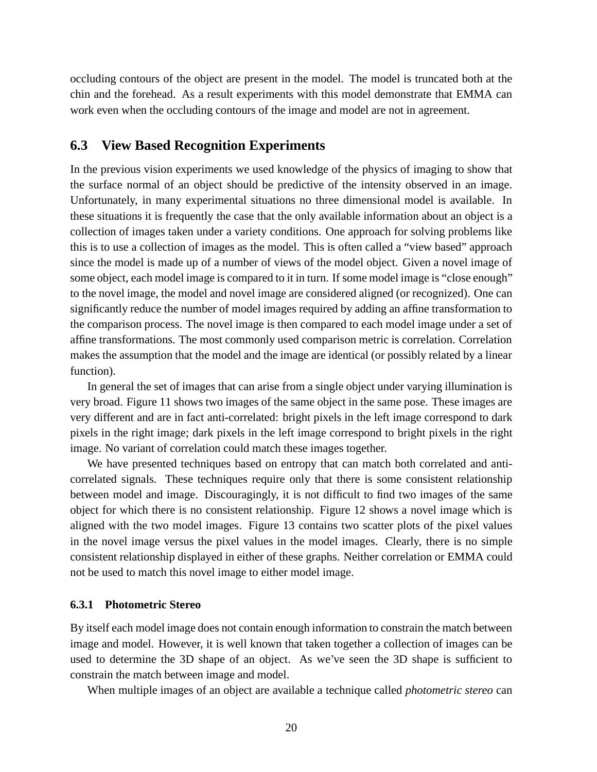occluding contours of the object are present in the model. The model is truncated both at the chin and the forehead. As a result experiments with this model demonstrate that EMMA can work even when the occluding contours of the image and model are not in agreement.

### **6.3 View Based Recognition Experiments**

In the previous vision experiments we used knowledge of the physics of imaging to show that the surface normal of an object should be predictive of the intensity observed in an image. Unfortunately, in many experimental situations no three dimensional model is available. In these situations it is frequently the case that the only available information about an object is a collection of images taken under a variety conditions. One approach for solving problems like this is to use a collection of images as the model. This is often called a "view based" approach since the model is made up of a number of views of the model object. Given a novel image of some object, each model image is compared to it in turn. If some model image is "close enough" to the novel image, the model and novel image are considered aligned (or recognized). One can significantly reduce the number of model images required by adding an affine transformation to the comparison process. The novel image is then compared to each model image under a set of affine transformations. The most commonly used comparison metric is correlation. Correlation makes the assumption that the model and the image are identical (or possibly related by a linear function).

In general the set of images that can arise from a single object under varying illumination is very broad. Figure 11 shows two images of the same object in the same pose. These images are very different and are in fact anti-correlated: bright pixels in the left image correspond to dark pixels in the right image; dark pixels in the left image correspond to bright pixels in the right image. No variant of correlation could match these images together.

We have presented techniques based on entropy that can match both correlated and anticorrelated signals. These techniques require only that there is some consistent relationship between model and image. Discouragingly, it is not difficult to find two images of the same object for which there is no consistent relationship. Figure 12 shows a novel image which is aligned with the two model images. Figure 13 contains two scatter plots of the pixel values in the novel image versus the pixel values in the model images. Clearly, there is no simple consistent relationship displayed in either of these graphs. Neither correlation or EMMA could not be used to match this novel image to either model image.

### **6.3.1 Photometric Stereo**

By itself each model image does not contain enough information to constrain the match between image and model. However, it is well known that taken together a collection of images can be used to determine the 3D shape of an object. As we've seen the 3D shape is sufficient to constrain the match between image and model.

When multiple images of an object are available a technique called *photometric stereo* can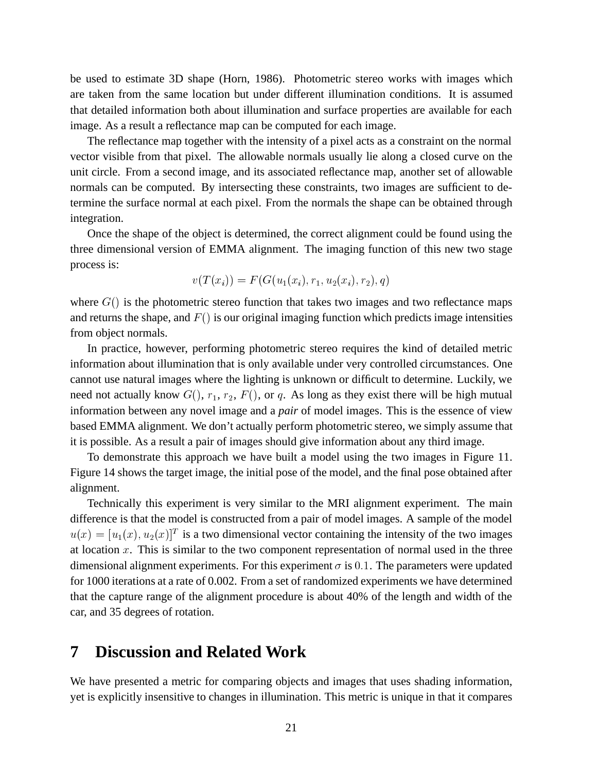be used to estimate 3D shape (Horn, 1986). Photometric stereo works with images which are taken from the same location but under different illumination conditions. It is assumed that detailed information both about illumination and surface properties are available for each image. As a result a reflectance map can be computed for each image.

The reflectance map together with the intensity of a pixel acts as a constraint on the normal vector visible from that pixel. The allowable normals usually lie along a closed curve on the unit circle. From a second image, and its associated reflectance map, another set of allowable normals can be computed. By intersecting these constraints, two images are sufficient to determine the surface normal at each pixel. From the normals the shape can be obtained through integration.

Once the shape of the object is determined, the correct alignment could be found using the three dimensional version of EMMA alignment. The imaging function of this new two stage process is:

$$
v(T(x_i)) = F(G(u_1(x_i), r_1, u_2(x_i), r_2), q)
$$

where  $G()$  is the photometric stereo function that takes two images and two reflectance maps and returns the shape, and  $F()$  is our original imaging function which predicts image intensities from object normals.

In practice, however, performing photometric stereo requires the kind of detailed metric information about illumination that is only available under very controlled circumstances. One cannot use natural images where the lighting is unknown or difficult to determine. Luckily, we need not actually know  $G(), r_1, r_2, F(),$  or q. As long as they exist there will be high mutual information between any novel image and a *pair* of model images. This is the essence of view based EMMA alignment. We don't actually perform photometric stereo, we simply assume that it is possible. As a result a pair of images should give information about any third image.

To demonstrate this approach we have built a model using the two images in Figure 11. Figure 14 shows the target image, the initial pose of the model, and the final pose obtained after alignment.

Technically this experiment is very similar to the MRI alignment experiment. The main difference is that the model is constructed from a pair of model images. A sample of the model  $u(x) = [u_1(x), u_2(x)]^T$  is a two dimensional vector containing the intensity of the two images at location  $x$ . This is similar to the two component representation of normal used in the three dimensional alignment experiments. For this experiment  $\sigma$  is 0.1. The parameters were updated for 1000 iterations at a rate of 0.002. From a set of randomized experiments we have determined that the capture range of the alignment procedure is about 40% of the length and width of the car, and 35 degrees of rotation.

# **7 Discussion and Related Work**

We have presented a metric for comparing objects and images that uses shading information, yet is explicitly insensitive to changes in illumination. This metric is unique in that it compares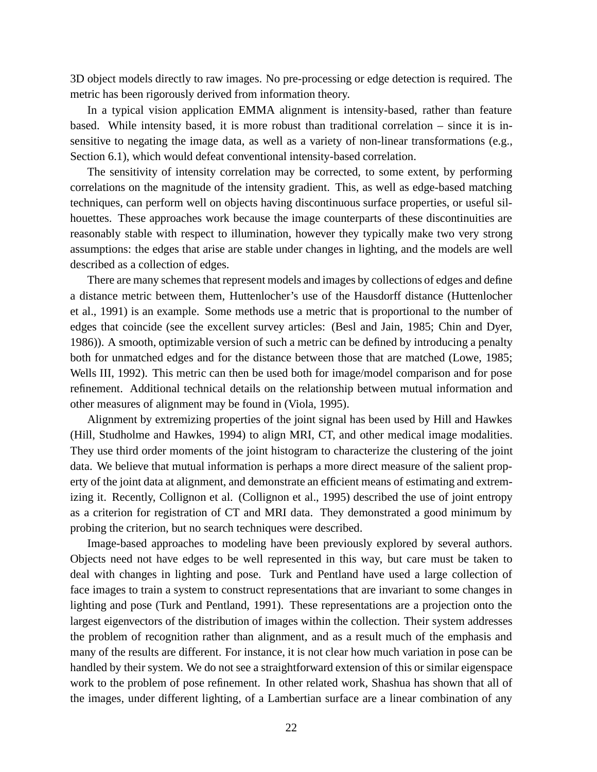3D object models directly to raw images. No pre-processing or edge detection is required. The metric has been rigorously derived from information theory.

In a typical vision application EMMA alignment is intensity-based, rather than feature based. While intensity based, it is more robust than traditional correlation – since it is insensitive to negating the image data, as well as a variety of non-linear transformations (e.g., Section 6.1), which would defeat conventional intensity-based correlation.

The sensitivity of intensity correlation may be corrected, to some extent, by performing correlations on the magnitude of the intensity gradient. This, as well as edge-based matching techniques, can perform well on objects having discontinuous surface properties, or useful silhouettes. These approaches work because the image counterparts of these discontinuities are reasonably stable with respect to illumination, however they typically make two very strong assumptions: the edges that arise are stable under changes in lighting, and the models are well described as a collection of edges.

There are many schemes that represent models and images by collections of edges and define a distance metric between them, Huttenlocher's use of the Hausdorff distance (Huttenlocher et al., 1991) is an example. Some methods use a metric that is proportional to the number of edges that coincide (see the excellent survey articles: (Besl and Jain, 1985; Chin and Dyer, 1986)). A smooth, optimizable version of such a metric can be defined by introducing a penalty both for unmatched edges and for the distance between those that are matched (Lowe, 1985; Wells III, 1992). This metric can then be used both for image/model comparison and for pose refinement. Additional technical details on the relationship between mutual information and other measures of alignment may be found in (Viola, 1995).

Alignment by extremizing properties of the joint signal has been used by Hill and Hawkes (Hill, Studholme and Hawkes, 1994) to align MRI, CT, and other medical image modalities. They use third order moments of the joint histogram to characterize the clustering of the joint data. We believe that mutual information is perhaps a more direct measure of the salient property of the joint data at alignment, and demonstrate an efficient means of estimating and extremizing it. Recently, Collignon et al. (Collignon et al., 1995) described the use of joint entropy as a criterion for registration of CT and MRI data. They demonstrated a good minimum by probing the criterion, but no search techniques were described.

Image-based approaches to modeling have been previously explored by several authors. Objects need not have edges to be well represented in this way, but care must be taken to deal with changes in lighting and pose. Turk and Pentland have used a large collection of face images to train a system to construct representations that are invariant to some changes in lighting and pose (Turk and Pentland, 1991). These representations are a projection onto the largest eigenvectors of the distribution of images within the collection. Their system addresses the problem of recognition rather than alignment, and as a result much of the emphasis and many of the results are different. For instance, it is not clear how much variation in pose can be handled by their system. We do not see a straightforward extension of this or similar eigenspace work to the problem of pose refinement. In other related work, Shashua has shown that all of the images, under different lighting, of a Lambertian surface are a linear combination of any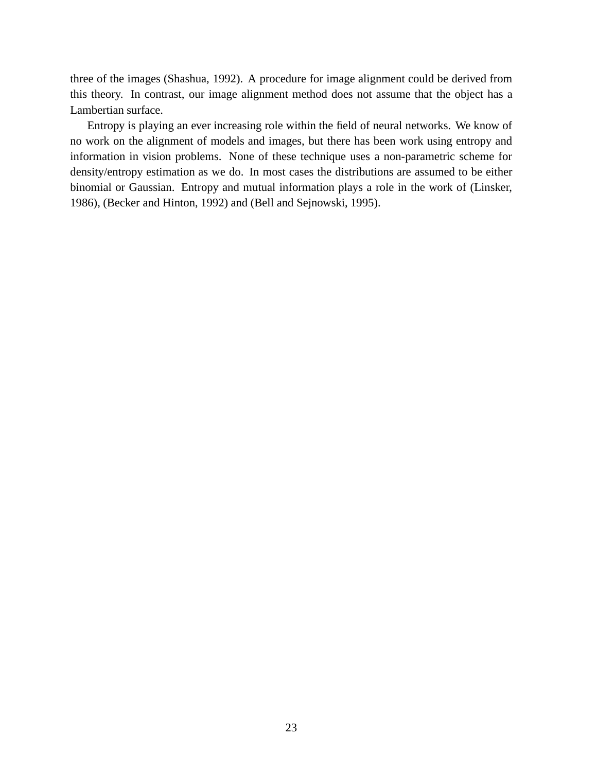three of the images (Shashua, 1992). A procedure for image alignment could be derived from this theory. In contrast, our image alignment method does not assume that the object has a Lambertian surface.

Entropy is playing an ever increasing role within the field of neural networks. We know of no work on the alignment of models and images, but there has been work using entropy and information in vision problems. None of these technique uses a non-parametric scheme for density/entropy estimation as we do. In most cases the distributions are assumed to be either binomial or Gaussian. Entropy and mutual information plays a role in the work of (Linsker, 1986), (Becker and Hinton, 1992) and (Bell and Sejnowski, 1995).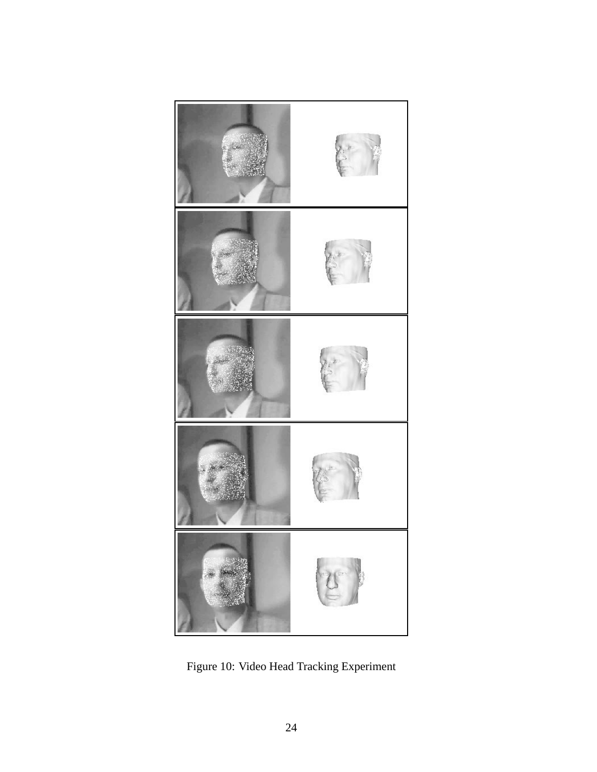![](_page_23_Picture_0.jpeg)

Figure 10: Video Head Tracking Experiment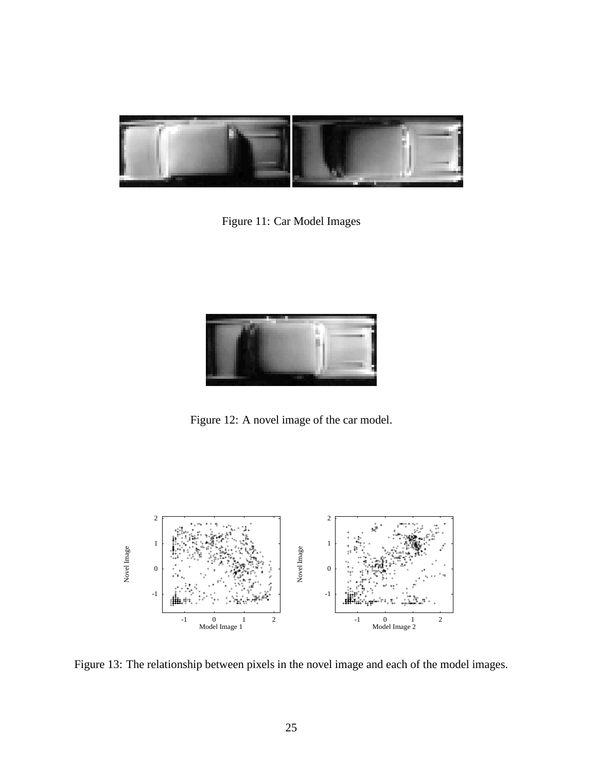![](_page_24_Picture_0.jpeg)

Figure 11: Car Model Images

![](_page_24_Picture_2.jpeg)

Figure 12: A novel image of the car model.

![](_page_24_Figure_4.jpeg)

Figure 13: The relationship between pixels in the novel image and each of the model images.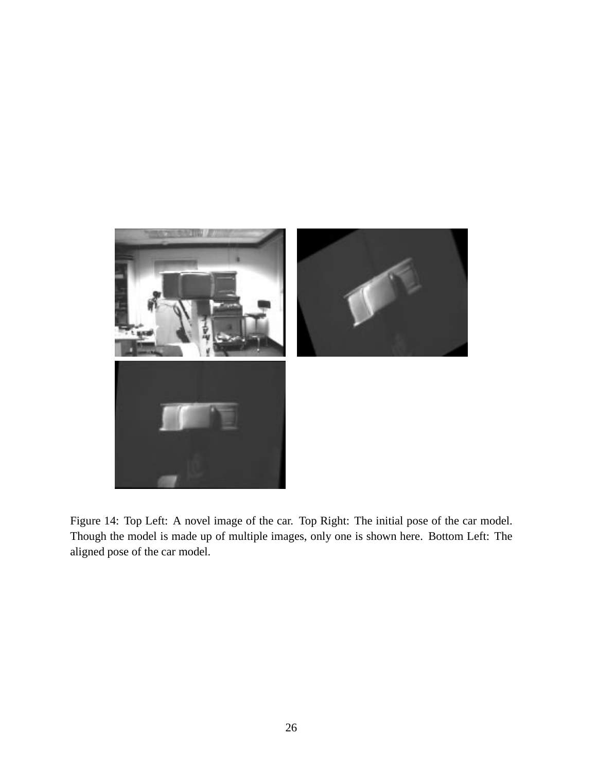![](_page_25_Picture_0.jpeg)

Figure 14: Top Left: A novel image of the car. Top Right: The initial pose of the car model. Though the model is made up of multiple images, only one is shown here. Bottom Left: The aligned pose of the car model.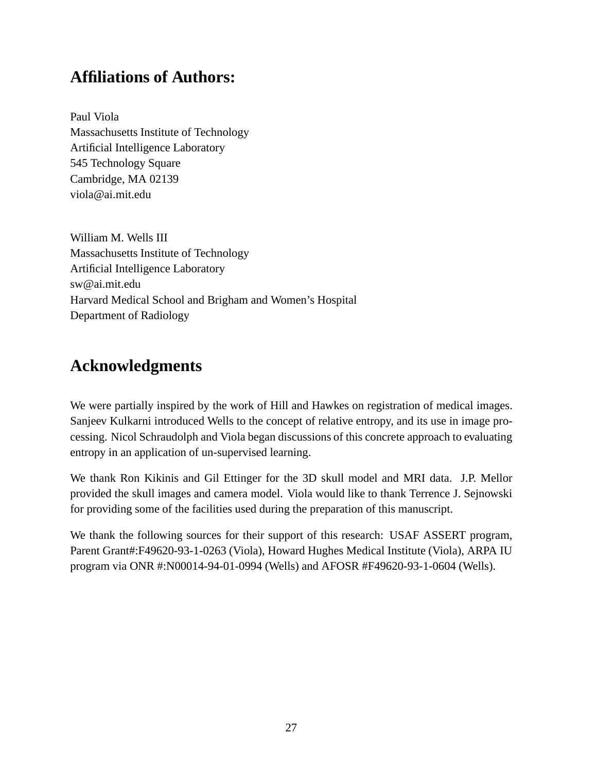# **Affiliations of Authors:**

Paul Viola Massachusetts Institute of Technology Artificial Intelligence Laboratory 545 Technology Square Cambridge, MA 02139 viola@ai.mit.edu

William M. Wells III Massachusetts Institute of Technology Artificial Intelligence Laboratory sw@ai.mit.edu Harvard Medical School and Brigham and Women's Hospital Department of Radiology

# **Acknowledgments**

We were partially inspired by the work of Hill and Hawkes on registration of medical images. Sanjeev Kulkarni introduced Wells to the concept of relative entropy, and its use in image processing. Nicol Schraudolph and Viola began discussions of this concrete approach to evaluating entropy in an application of un-supervised learning.

We thank Ron Kikinis and Gil Ettinger for the 3D skull model and MRI data. J.P. Mellor provided the skull images and camera model. Viola would like to thank Terrence J. Sejnowski for providing some of the facilities used during the preparation of this manuscript.

We thank the following sources for their support of this research: USAF ASSERT program, Parent Grant#:F49620-93-1-0263 (Viola), Howard Hughes Medical Institute (Viola), ARPA IU program via ONR #:N00014-94-01-0994 (Wells) and AFOSR #F49620-93-1-0604 (Wells).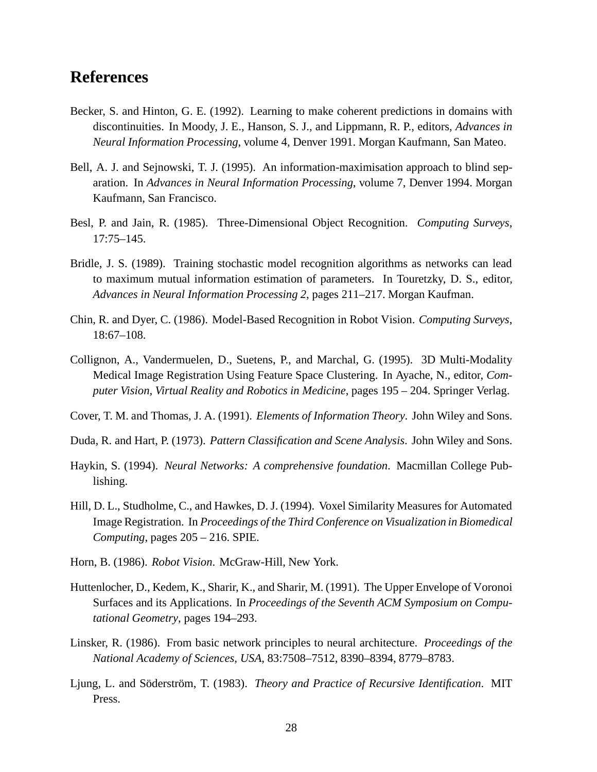# **References**

- Becker, S. and Hinton, G. E. (1992). Learning to make coherent predictions in domains with discontinuities. In Moody, J. E., Hanson, S. J., and Lippmann, R. P., editors, *Advances in Neural Information Processing*, volume 4, Denver 1991. Morgan Kaufmann, San Mateo.
- Bell, A. J. and Sejnowski, T. J. (1995). An information-maximisation approach to blind separation. In *Advances in Neural Information Processing*, volume 7, Denver 1994. Morgan Kaufmann, San Francisco.
- Besl, P. and Jain, R. (1985). Three-Dimensional Object Recognition. *Computing Surveys*, 17:75–145.
- Bridle, J. S. (1989). Training stochastic model recognition algorithms as networks can lead to maximum mutual information estimation of parameters. In Touretzky, D. S., editor, *Advances in Neural Information Processing 2*, pages 211–217. Morgan Kaufman.
- Chin, R. and Dyer, C. (1986). Model-Based Recognition in Robot Vision. *Computing Surveys*, 18:67–108.
- Collignon, A., Vandermuelen, D., Suetens, P., and Marchal, G. (1995). 3D Multi-Modality Medical Image Registration Using Feature Space Clustering. In Ayache, N., editor, *Computer Vision, Virtual Reality and Robotics in Medicine*, pages 195 – 204. Springer Verlag.
- Cover, T. M. and Thomas, J. A. (1991). *Elements of Information Theory*. John Wiley and Sons.
- Duda, R. and Hart, P. (1973). *Pattern Classification and Scene Analysis*. John Wiley and Sons.
- Haykin, S. (1994). *Neural Networks: A comprehensive foundation*. Macmillan College Publishing.
- Hill, D. L., Studholme, C., and Hawkes, D. J. (1994). Voxel Similarity Measures for Automated Image Registration. In *Proceedings of the Third Conference on Visualization in Biomedical Computing*, pages 205 – 216. SPIE.
- Horn, B. (1986). *Robot Vision*. McGraw-Hill, New York.
- Huttenlocher, D., Kedem, K., Sharir, K., and Sharir, M. (1991). The Upper Envelope of Voronoi Surfaces and its Applications. In *Proceedings of the Seventh ACM Symposium on Computational Geometry*, pages 194–293.
- Linsker, R. (1986). From basic network principles to neural architecture. *Proceedings of the National Academy of Sciences, USA*, 83:7508–7512, 8390–8394, 8779–8783.
- Ljung, L. and Söderström, T. (1983). *Theory and Practice of Recursive Identification*. MIT Press.